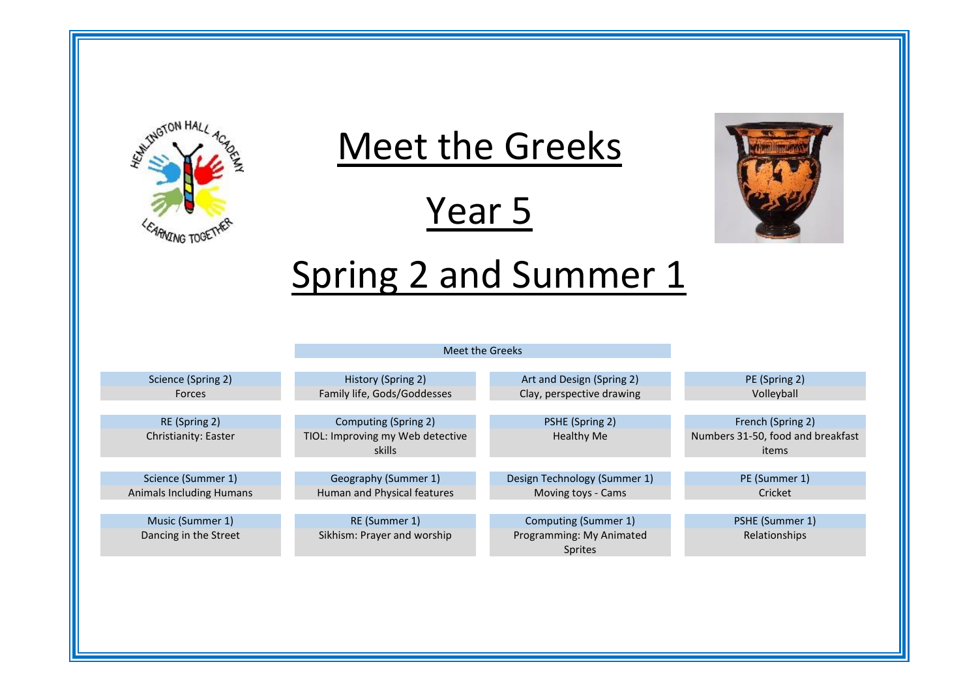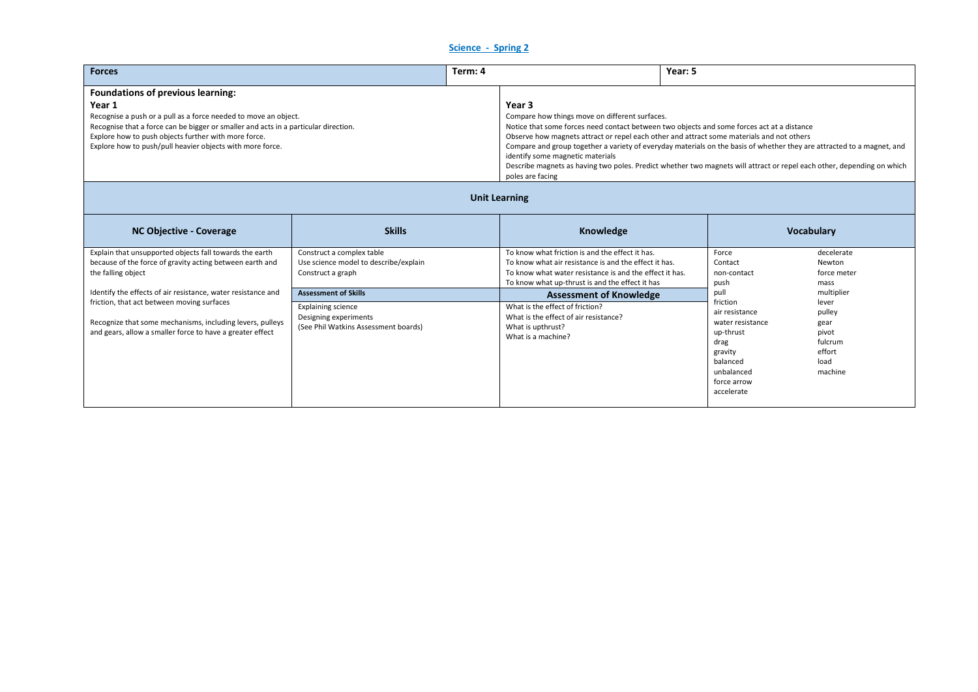## **Science - Spring 2**

| <b>Forces</b>                                                                                                                                                                                                                                                                         |                                                                                         | Term: 4 |                                                                                                                                                                                                                                                                                                                                                                                                                                                                                                                                             | Year: 5 |                                 |                                     |
|---------------------------------------------------------------------------------------------------------------------------------------------------------------------------------------------------------------------------------------------------------------------------------------|-----------------------------------------------------------------------------------------|---------|---------------------------------------------------------------------------------------------------------------------------------------------------------------------------------------------------------------------------------------------------------------------------------------------------------------------------------------------------------------------------------------------------------------------------------------------------------------------------------------------------------------------------------------------|---------|---------------------------------|-------------------------------------|
| Foundations of previous learning:                                                                                                                                                                                                                                                     |                                                                                         |         |                                                                                                                                                                                                                                                                                                                                                                                                                                                                                                                                             |         |                                 |                                     |
| Year 1<br>Recognise a push or a pull as a force needed to move an object.<br>Recognise that a force can be bigger or smaller and acts in a particular direction.<br>Explore how to push objects further with more force.<br>Explore how to push/pull heavier objects with more force. |                                                                                         |         | Year 3<br>Compare how things move on different surfaces.<br>Notice that some forces need contact between two objects and some forces act at a distance<br>Observe how magnets attract or repel each other and attract some materials and not others<br>Compare and group together a variety of everyday materials on the basis of whether they are attracted to a magnet, and<br>identify some magnetic materials<br>Describe magnets as having two poles. Predict whether two magnets will attract or repel each other, depending on which |         |                                 |                                     |
| poles are facing<br><b>Unit Learning</b>                                                                                                                                                                                                                                              |                                                                                         |         |                                                                                                                                                                                                                                                                                                                                                                                                                                                                                                                                             |         |                                 |                                     |
| <b>NC Objective - Coverage</b>                                                                                                                                                                                                                                                        | <b>Skills</b>                                                                           |         | Knowledge                                                                                                                                                                                                                                                                                                                                                                                                                                                                                                                                   |         |                                 | <b>Vocabulary</b>                   |
| Explain that unsupported objects fall towards the earth<br>because of the force of gravity acting between earth and<br>the falling object                                                                                                                                             | Construct a complex table<br>Use science model to describe/explain<br>Construct a graph |         | To know what friction is and the effect it has.<br>To know what air resistance is and the effect it has.<br>To know what water resistance is and the effect it has                                                                                                                                                                                                                                                                                                                                                                          |         | Force<br>Contact<br>non-contact | decelerate<br>Newton<br>force meter |

| the falling object                                                                                                                                                   | Construct a graph                                                                          | To know what water resistance is and the effect it has.                                                             | non-contact                                                                                              | force meter                                                              |
|----------------------------------------------------------------------------------------------------------------------------------------------------------------------|--------------------------------------------------------------------------------------------|---------------------------------------------------------------------------------------------------------------------|----------------------------------------------------------------------------------------------------------|--------------------------------------------------------------------------|
|                                                                                                                                                                      |                                                                                            | To know what up-thrust is and the effect it has                                                                     | push                                                                                                     | mass                                                                     |
| Identify the effects of air resistance, water resistance and                                                                                                         | <b>Assessment of Skills</b>                                                                | <b>Assessment of Knowledge</b>                                                                                      | pul                                                                                                      | multiplier                                                               |
| friction, that act between moving surfaces<br>Recognize that some mechanisms, including levers, pulleys<br>and gears, allow a smaller force to have a greater effect | <b>Explaining science</b><br>Designing experiments<br>(See Phil Watkins Assessment boards) | What is the effect of friction?<br>What is the effect of air resistance?<br>What is upthrust?<br>What is a machine? | friction<br>air resistance<br>water resistance<br>up-thrust<br>drag<br>gravity<br>balanced<br>unbalanced | lever<br>pulley<br>gear<br>pivot<br>fulcrum<br>effort<br>load<br>machine |
|                                                                                                                                                                      |                                                                                            |                                                                                                                     | force arrow<br>accelerate                                                                                |                                                                          |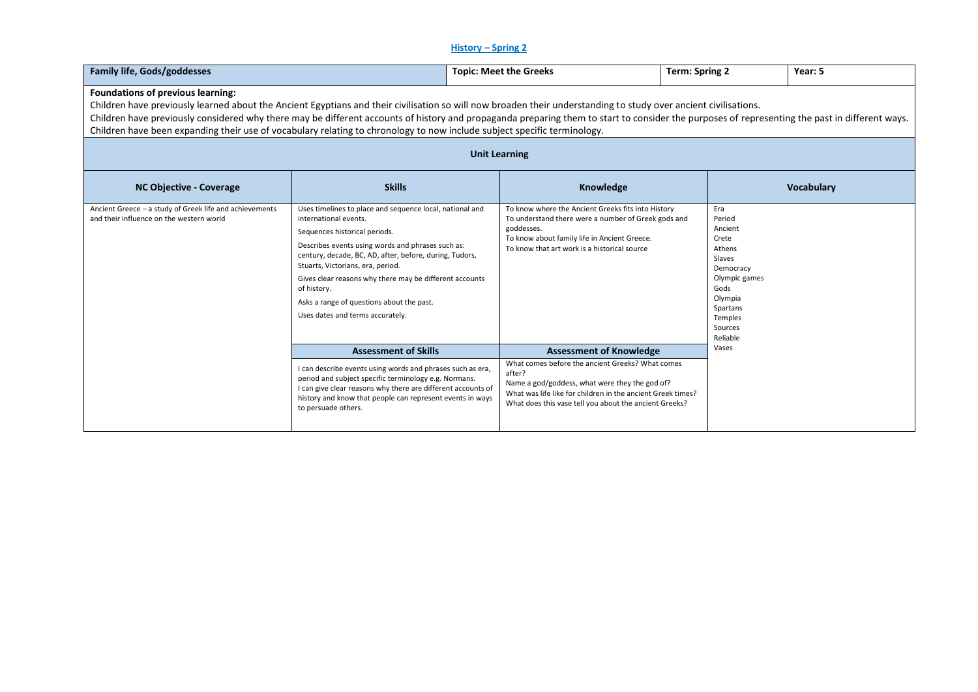# **History – Spring 2**

| <b>Family life, Gods/goddesses</b>                                                                                                                                                                                                                                                                                                                                                                                                                                                                                                                                                                                                                      |                                                                                                                                                                                                                                                                                                                                                                                                                                    | <b>Topic: Meet the Greeks</b>                                                                                                                                                                                                                                           | <b>Term: Spring 2</b>                                                                                                                                | Year: 5 |  |  |  |
|---------------------------------------------------------------------------------------------------------------------------------------------------------------------------------------------------------------------------------------------------------------------------------------------------------------------------------------------------------------------------------------------------------------------------------------------------------------------------------------------------------------------------------------------------------------------------------------------------------------------------------------------------------|------------------------------------------------------------------------------------------------------------------------------------------------------------------------------------------------------------------------------------------------------------------------------------------------------------------------------------------------------------------------------------------------------------------------------------|-------------------------------------------------------------------------------------------------------------------------------------------------------------------------------------------------------------------------------------------------------------------------|------------------------------------------------------------------------------------------------------------------------------------------------------|---------|--|--|--|
| <b>Foundations of previous learning:</b><br>Children have previously learned about the Ancient Egyptians and their civilisation so will now broaden their understanding to study over ancient civilisations.<br>Children have previously considered why there may be different accounts of history and propaganda preparing them to start to consider the purposes of representing the past in different ways.<br>Children have been expanding their use of vocabulary relating to chronology to now include subject specific terminology.<br><b>Unit Learning</b><br><b>Skills</b><br>Knowledge<br><b>NC Objective - Coverage</b><br><b>Vocabulary</b> |                                                                                                                                                                                                                                                                                                                                                                                                                                    |                                                                                                                                                                                                                                                                         |                                                                                                                                                      |         |  |  |  |
| Ancient Greece - a study of Greek life and achievements<br>and their influence on the western world                                                                                                                                                                                                                                                                                                                                                                                                                                                                                                                                                     | Uses timelines to place and sequence local, national and<br>international events.<br>Sequences historical periods.<br>Describes events using words and phrases such as:<br>century, decade, BC, AD, after, before, during, Tudors,<br>Stuarts, Victorians, era, period.<br>Gives clear reasons why there may be different accounts<br>of history.<br>Asks a range of questions about the past.<br>Uses dates and terms accurately. | To know where the Ancient Greeks fits into History<br>To understand there were a number of Greek gods and<br>goddesses.<br>To know about family life in Ancient Greece.<br>To know that art work is a historical source                                                 | Era<br>Period<br>Ancient<br>Crete<br>Athens<br>Slaves<br>Democracy<br>Olympic games<br>Gods<br>Olympia<br>Spartans<br>Temples<br>Sources<br>Reliable |         |  |  |  |
|                                                                                                                                                                                                                                                                                                                                                                                                                                                                                                                                                                                                                                                         | <b>Assessment of Skills</b><br>I can describe events using words and phrases such as era,<br>period and subject specific terminology e.g. Normans.<br>I can give clear reasons why there are different accounts of<br>history and know that people can represent events in ways<br>to persuade others.                                                                                                                             | <b>Assessment of Knowledge</b><br>What comes before the ancient Greeks? What comes<br>after?<br>Name a god/goddess, what were they the god of?<br>What was life like for children in the ancient Greek times?<br>What does this vase tell you about the ancient Greeks? | Vases                                                                                                                                                |         |  |  |  |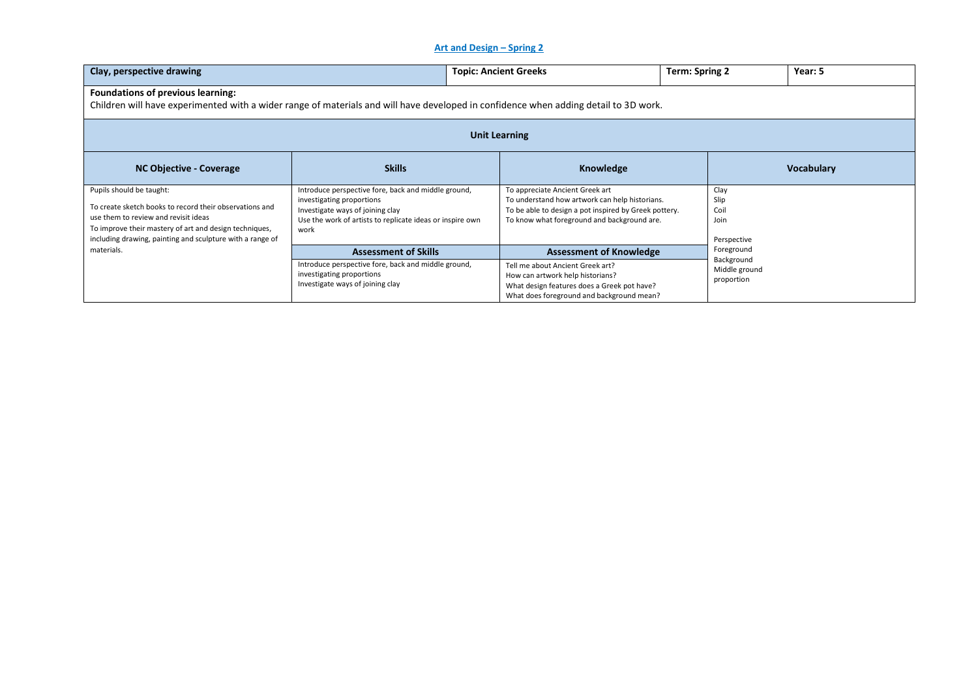## **Art and Design – Spring 2**

| Clay, perspective drawing                                                                                                                                                                                                                                        |                                                                                                                                                                                           | <b>Topic: Ancient Greeks</b>                                         |                                                                                                                                                        | Term: Spring 2                                          | Year: 5           |  |  |
|------------------------------------------------------------------------------------------------------------------------------------------------------------------------------------------------------------------------------------------------------------------|-------------------------------------------------------------------------------------------------------------------------------------------------------------------------------------------|----------------------------------------------------------------------|--------------------------------------------------------------------------------------------------------------------------------------------------------|---------------------------------------------------------|-------------------|--|--|
| <b>Foundations of previous learning:</b><br>Children will have experimented with a wider range of materials and will have developed in confidence when adding detail to 3D work.                                                                                 |                                                                                                                                                                                           |                                                                      |                                                                                                                                                        |                                                         |                   |  |  |
| <b>Unit Learning</b>                                                                                                                                                                                                                                             |                                                                                                                                                                                           |                                                                      |                                                                                                                                                        |                                                         |                   |  |  |
| <b>NC Objective - Coverage</b>                                                                                                                                                                                                                                   | <b>Skills</b>                                                                                                                                                                             |                                                                      | Knowledge                                                                                                                                              |                                                         | <b>Vocabulary</b> |  |  |
| Pupils should be taught:<br>To create sketch books to record their observations and<br>use them to review and revisit ideas<br>To improve their mastery of art and design techniques,<br>including drawing, painting and sculpture with a range of<br>materials. | Introduce perspective fore, back and middle ground,<br>investigating proportions<br>Investigate ways of joining clay<br>Use the work of artists to replicate ideas or inspire own<br>work | To appreciate Ancient Greek art                                      | To understand how artwork can help historians.<br>To be able to design a pot inspired by Greek pottery.<br>To know what foreground and background are. | Clay<br>Slip<br>Coil<br>Join<br>Perspective             |                   |  |  |
|                                                                                                                                                                                                                                                                  | <b>Assessment of Skills</b><br>Introduce perspective fore, back and middle ground,<br>investigating proportions<br>Investigate ways of joining clay                                       | Tell me about Ancient Greek art?<br>How can artwork help historians? | <b>Assessment of Knowledge</b><br>What design features does a Greek pot have?<br>What does foreground and background mean?                             | Foreground<br>Background<br>Middle ground<br>proportion |                   |  |  |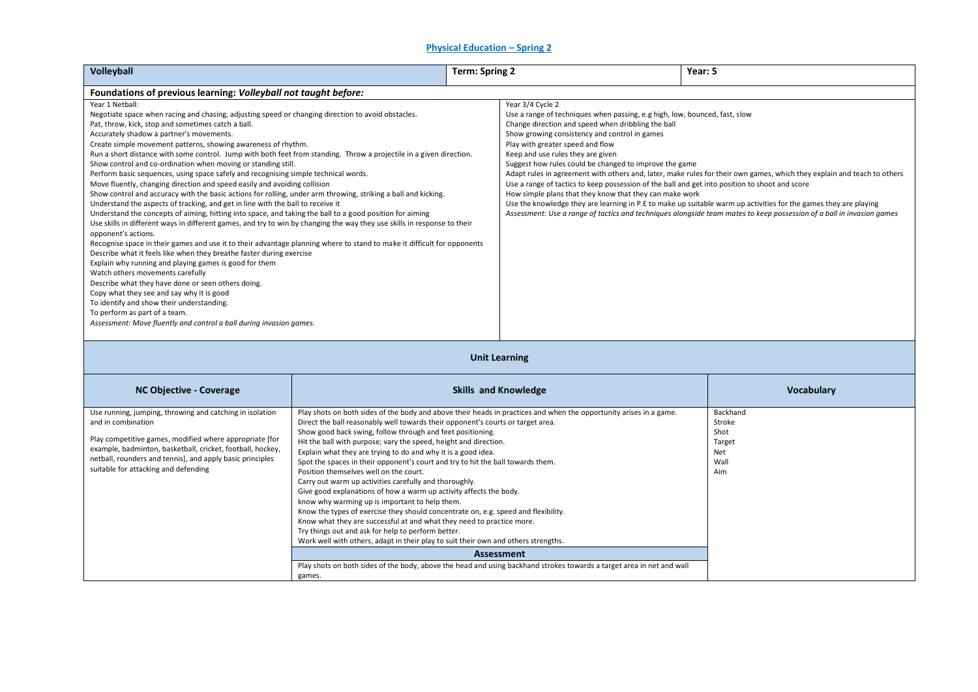## **Physical Education – Spring 2**

| Volleyball                                                                                                                                                                                                                                                                                                                                                                                                                                                                                                                                                                                                                                                                                                                                                                                                                                                                                                                                                                                                                                                                                                                                                                                                                                                                                                                                                                                                                                                                                                                                                                                                                                                                                                                                           | <b>Term: Spring 2</b>                                                                                                                                                                                                                                                                                                                                                                                                                                                                                                                                                                                                                                                                                                                                                                                                                                                                                                                                                                                                                                   |                                                                                                                                                                                                                                                                                                                                                                                                                                                                                                                                                                                                                                                                                                                                                                                                                                                                               | Year: 5                                                                                                               |                   |
|------------------------------------------------------------------------------------------------------------------------------------------------------------------------------------------------------------------------------------------------------------------------------------------------------------------------------------------------------------------------------------------------------------------------------------------------------------------------------------------------------------------------------------------------------------------------------------------------------------------------------------------------------------------------------------------------------------------------------------------------------------------------------------------------------------------------------------------------------------------------------------------------------------------------------------------------------------------------------------------------------------------------------------------------------------------------------------------------------------------------------------------------------------------------------------------------------------------------------------------------------------------------------------------------------------------------------------------------------------------------------------------------------------------------------------------------------------------------------------------------------------------------------------------------------------------------------------------------------------------------------------------------------------------------------------------------------------------------------------------------------|---------------------------------------------------------------------------------------------------------------------------------------------------------------------------------------------------------------------------------------------------------------------------------------------------------------------------------------------------------------------------------------------------------------------------------------------------------------------------------------------------------------------------------------------------------------------------------------------------------------------------------------------------------------------------------------------------------------------------------------------------------------------------------------------------------------------------------------------------------------------------------------------------------------------------------------------------------------------------------------------------------------------------------------------------------|-------------------------------------------------------------------------------------------------------------------------------------------------------------------------------------------------------------------------------------------------------------------------------------------------------------------------------------------------------------------------------------------------------------------------------------------------------------------------------------------------------------------------------------------------------------------------------------------------------------------------------------------------------------------------------------------------------------------------------------------------------------------------------------------------------------------------------------------------------------------------------|-----------------------------------------------------------------------------------------------------------------------|-------------------|
|                                                                                                                                                                                                                                                                                                                                                                                                                                                                                                                                                                                                                                                                                                                                                                                                                                                                                                                                                                                                                                                                                                                                                                                                                                                                                                                                                                                                                                                                                                                                                                                                                                                                                                                                                      |                                                                                                                                                                                                                                                                                                                                                                                                                                                                                                                                                                                                                                                                                                                                                                                                                                                                                                                                                                                                                                                         |                                                                                                                                                                                                                                                                                                                                                                                                                                                                                                                                                                                                                                                                                                                                                                                                                                                                               |                                                                                                                       |                   |
| Foundations of previous learning: Volleyball not taught before:<br>Year 1 Netball:<br>Negotiate space when racing and chasing, adjusting speed or changing direction to avoid obstacles.<br>Pat, throw, kick, stop and sometimes catch a ball.<br>Accurately shadow a partner's movements.<br>Create simple movement patterns, showing awareness of rhythm.<br>Run a short distance with some control. Jump with both feet from standing. Throw a projectile in a given direction.<br>Show control and co-ordination when moving or standing still.<br>Perform basic sequences, using space safely and recognising simple technical words.<br>Move fluently, changing direction and speed easily and avoiding collision<br>Show control and accuracy with the basic actions for rolling, under arm throwing, striking a ball and kicking.<br>Understand the aspects of tracking, and get in line with the ball to receive it<br>Understand the concepts of aiming, hitting into space, and taking the ball to a good position for aiming<br>Use skills in different ways in different games, and try to win by changing the way they use skills in response to their<br>opponent's actions.<br>Recognise space in their games and use it to their advantage planning where to stand to make it difficult for opponents<br>Describe what it feels like when they breathe faster during exercise<br>Explain why running and playing games is good for them<br>Watch others movements carefully<br>Describe what they have done or seen others doing.<br>Copy what they see and say why it is good<br>To identify and show their understanding.<br>To perform as part of a team.<br>Assessment: Move fluently and control a ball during invasion games. |                                                                                                                                                                                                                                                                                                                                                                                                                                                                                                                                                                                                                                                                                                                                                                                                                                                                                                                                                                                                                                                         | Year 3/4 Cycle 2<br>Use a range of techniques when passing, e.g high, low, bounced, fast, slow<br>Change direction and speed when dribbling the ball<br>Show growing consistency and control in games<br>Play with greater speed and flow<br>Keep and use rules they are given<br>Suggest how rules could be changed to improve the game<br>Adapt rules in agreement with others and, later, make rules for their own games, which they explain and teach to others<br>Use a range of tactics to keep possession of the ball and get into position to shoot and score<br>How simple plans that they know that they can make work<br>Use the knowledge they are learning in P.E to make up suitable warm up activities for the games they are playing<br>Assessment: Use a range of tactics and techniques alongside team mates to keep possession of a ball in invasion games |                                                                                                                       |                   |
|                                                                                                                                                                                                                                                                                                                                                                                                                                                                                                                                                                                                                                                                                                                                                                                                                                                                                                                                                                                                                                                                                                                                                                                                                                                                                                                                                                                                                                                                                                                                                                                                                                                                                                                                                      |                                                                                                                                                                                                                                                                                                                                                                                                                                                                                                                                                                                                                                                                                                                                                                                                                                                                                                                                                                                                                                                         |                                                                                                                                                                                                                                                                                                                                                                                                                                                                                                                                                                                                                                                                                                                                                                                                                                                                               | <b>Unit Learning</b>                                                                                                  |                   |
| <b>NC Objective - Coverage</b>                                                                                                                                                                                                                                                                                                                                                                                                                                                                                                                                                                                                                                                                                                                                                                                                                                                                                                                                                                                                                                                                                                                                                                                                                                                                                                                                                                                                                                                                                                                                                                                                                                                                                                                       |                                                                                                                                                                                                                                                                                                                                                                                                                                                                                                                                                                                                                                                                                                                                                                                                                                                                                                                                                                                                                                                         |                                                                                                                                                                                                                                                                                                                                                                                                                                                                                                                                                                                                                                                                                                                                                                                                                                                                               | <b>Skills and Knowledge</b>                                                                                           | <b>Vocabulary</b> |
| Use running, jumping, throwing and catching in isolation<br>and in combination<br>Play competitive games, modified where appropriate [for<br>example, badminton, basketball, cricket, football, hockey,<br>netball, rounders and tennis], and apply basic principles<br>suitable for attacking and defending                                                                                                                                                                                                                                                                                                                                                                                                                                                                                                                                                                                                                                                                                                                                                                                                                                                                                                                                                                                                                                                                                                                                                                                                                                                                                                                                                                                                                                         | Play shots on both sides of the body and above their heads in practices and when the opportunity arises in a game.<br>Direct the ball reasonably well towards their opponent's courts or target area.<br>Show good back swing, follow through and feet positioning.<br>Hit the ball with purpose; vary the speed, height and direction.<br>Explain what they are trying to do and why it is a good idea.<br>Spot the spaces in their opponent's court and try to hit the ball towards them.<br>Position themselves well on the court.<br>Carry out warm up activities carefully and thoroughly.<br>Give good explanations of how a warm up activity affects the body.<br>know why warming up is important to help them.<br>Know the types of exercise they should concentrate on, e.g. speed and flexibility.<br>Know what they are successful at and what they need to practice more.<br>Try things out and ask for help to perform better.<br>Work well with others, adapt in their play to suit their own and others strengths.<br><b>Assessment</b> |                                                                                                                                                                                                                                                                                                                                                                                                                                                                                                                                                                                                                                                                                                                                                                                                                                                                               | Backhand<br>Stroke<br>Shot<br>Target<br>Net<br>Wall<br>Aim                                                            |                   |
|                                                                                                                                                                                                                                                                                                                                                                                                                                                                                                                                                                                                                                                                                                                                                                                                                                                                                                                                                                                                                                                                                                                                                                                                                                                                                                                                                                                                                                                                                                                                                                                                                                                                                                                                                      | games.                                                                                                                                                                                                                                                                                                                                                                                                                                                                                                                                                                                                                                                                                                                                                                                                                                                                                                                                                                                                                                                  |                                                                                                                                                                                                                                                                                                                                                                                                                                                                                                                                                                                                                                                                                                                                                                                                                                                                               | Play shots on both sides of the body, above the head and using backhand strokes towards a target area in net and wall |                   |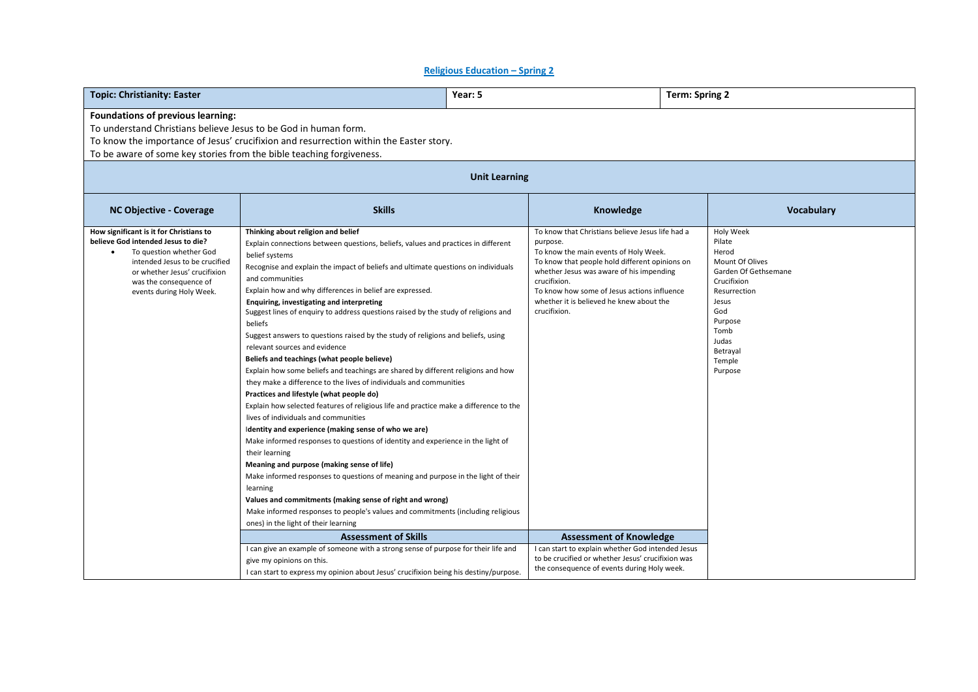### **Religious Education – Spring 2**

| <b>Topic: Christianity: Easter</b>                                                                                                                                                                                                                                            |                                                                                                                                                                                                                                                                                                                                                                                                                                                                                                                                                                                                                                                                                                                                                                                                                                                                                                                                                                                                                                                                                                                                                                                                                                                                                                                                                                                                                                                                           | Year: 5 | <b>Term: Spring 2</b>                                                                                                                                                                                                                                                                                                          |  |                                                                                                                                                                                     |  |  |
|-------------------------------------------------------------------------------------------------------------------------------------------------------------------------------------------------------------------------------------------------------------------------------|---------------------------------------------------------------------------------------------------------------------------------------------------------------------------------------------------------------------------------------------------------------------------------------------------------------------------------------------------------------------------------------------------------------------------------------------------------------------------------------------------------------------------------------------------------------------------------------------------------------------------------------------------------------------------------------------------------------------------------------------------------------------------------------------------------------------------------------------------------------------------------------------------------------------------------------------------------------------------------------------------------------------------------------------------------------------------------------------------------------------------------------------------------------------------------------------------------------------------------------------------------------------------------------------------------------------------------------------------------------------------------------------------------------------------------------------------------------------------|---------|--------------------------------------------------------------------------------------------------------------------------------------------------------------------------------------------------------------------------------------------------------------------------------------------------------------------------------|--|-------------------------------------------------------------------------------------------------------------------------------------------------------------------------------------|--|--|
| <b>Foundations of previous learning:</b><br>To understand Christians believe Jesus to be God in human form.<br>To know the importance of Jesus' crucifixion and resurrection within the Easter story.<br>To be aware of some key stories from the bible teaching forgiveness. |                                                                                                                                                                                                                                                                                                                                                                                                                                                                                                                                                                                                                                                                                                                                                                                                                                                                                                                                                                                                                                                                                                                                                                                                                                                                                                                                                                                                                                                                           |         |                                                                                                                                                                                                                                                                                                                                |  |                                                                                                                                                                                     |  |  |
| <b>Unit Learning</b>                                                                                                                                                                                                                                                          |                                                                                                                                                                                                                                                                                                                                                                                                                                                                                                                                                                                                                                                                                                                                                                                                                                                                                                                                                                                                                                                                                                                                                                                                                                                                                                                                                                                                                                                                           |         |                                                                                                                                                                                                                                                                                                                                |  |                                                                                                                                                                                     |  |  |
| <b>NC Objective - Coverage</b>                                                                                                                                                                                                                                                | <b>Skills</b>                                                                                                                                                                                                                                                                                                                                                                                                                                                                                                                                                                                                                                                                                                                                                                                                                                                                                                                                                                                                                                                                                                                                                                                                                                                                                                                                                                                                                                                             |         | Knowledge                                                                                                                                                                                                                                                                                                                      |  | Vocabulary                                                                                                                                                                          |  |  |
| How significant is it for Christians to<br>believe God intended Jesus to die?<br>To question whether God<br>intended Jesus to be crucified<br>or whether Jesus' crucifixion<br>was the consequence of<br>events during Holy Week.                                             | Thinking about religion and belief<br>Explain connections between questions, beliefs, values and practices in different<br>belief systems<br>Recognise and explain the impact of beliefs and ultimate questions on individuals<br>and communities<br>Explain how and why differences in belief are expressed.<br>Enquiring, investigating and interpreting<br>Suggest lines of enquiry to address questions raised by the study of religions and<br>beliefs<br>Suggest answers to questions raised by the study of religions and beliefs, using<br>relevant sources and evidence<br>Beliefs and teachings (what people believe)<br>Explain how some beliefs and teachings are shared by different religions and how<br>they make a difference to the lives of individuals and communities<br>Practices and lifestyle (what people do)<br>Explain how selected features of religious life and practice make a difference to the<br>lives of individuals and communities<br>Identity and experience (making sense of who we are)<br>Make informed responses to questions of identity and experience in the light of<br>their learning<br>Meaning and purpose (making sense of life)<br>Make informed responses to questions of meaning and purpose in the light of their<br>learning<br>Values and commitments (making sense of right and wrong)<br>Make informed responses to people's values and commitments (including religious<br>ones) in the light of their learning |         | To know that Christians believe Jesus life had a<br>purpose.<br>To know the main events of Holy Week.<br>To know that people hold different opinions on<br>whether Jesus was aware of his impending<br>crucifixion.<br>To know how some of Jesus actions influence<br>whether it is believed he knew about the<br>crucifixion. |  | Holy Week<br>Pilate<br>Herod<br>Mount Of Olives<br>Garden Of Gethsemane<br>Crucifixion<br>Resurrection<br>Jesus<br>God<br>Purpose<br>Tomb<br>Judas<br>Betrayal<br>Temple<br>Purpose |  |  |
|                                                                                                                                                                                                                                                                               | <b>Assessment of Skills</b>                                                                                                                                                                                                                                                                                                                                                                                                                                                                                                                                                                                                                                                                                                                                                                                                                                                                                                                                                                                                                                                                                                                                                                                                                                                                                                                                                                                                                                               |         | <b>Assessment of Knowledge</b>                                                                                                                                                                                                                                                                                                 |  |                                                                                                                                                                                     |  |  |
|                                                                                                                                                                                                                                                                               | I can give an example of someone with a strong sense of purpose for their life and<br>give my opinions on this.<br>I can start to express my opinion about Jesus' crucifixion being his destiny/purpose.                                                                                                                                                                                                                                                                                                                                                                                                                                                                                                                                                                                                                                                                                                                                                                                                                                                                                                                                                                                                                                                                                                                                                                                                                                                                  |         | I can start to explain whether God intended Jesus<br>to be crucified or whether Jesus' crucifixion was<br>the consequence of events during Holy week.                                                                                                                                                                          |  |                                                                                                                                                                                     |  |  |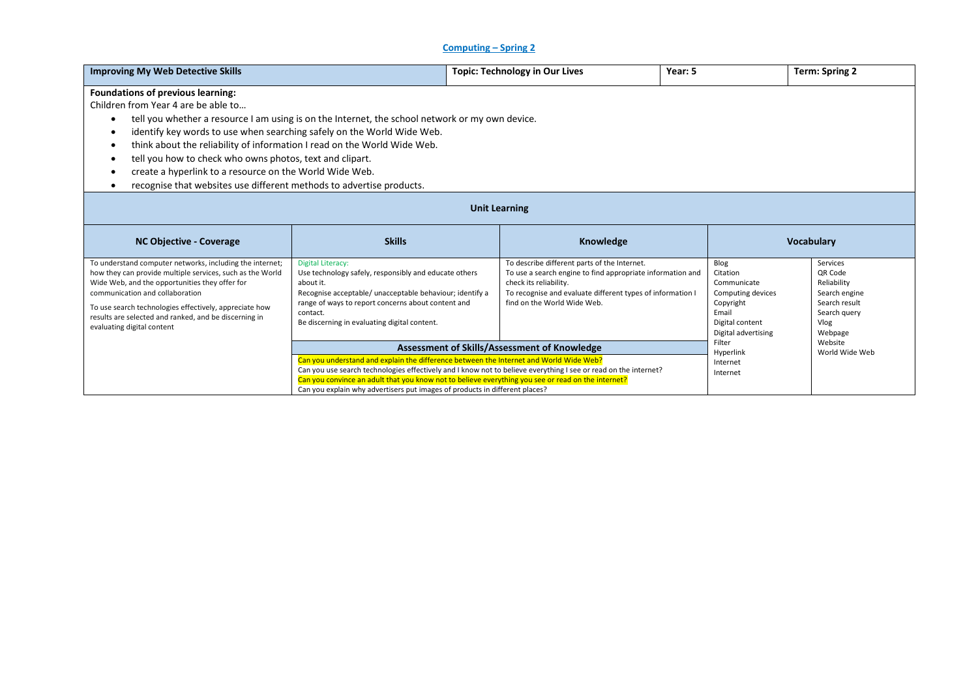## **Computing – Spring 2**

| <b>Improving My Web Detective Skills</b>                                                                                                                                                                                                                                                                                                                                                                                                                                                                                                                                                                                                                                                                                                                                                                                                                                                                                         |               | <b>Topic: Technology in Our Lives</b>                                                                                          | Year: 5                                                                                                            | <b>Term: Spring 2</b> |  |
|----------------------------------------------------------------------------------------------------------------------------------------------------------------------------------------------------------------------------------------------------------------------------------------------------------------------------------------------------------------------------------------------------------------------------------------------------------------------------------------------------------------------------------------------------------------------------------------------------------------------------------------------------------------------------------------------------------------------------------------------------------------------------------------------------------------------------------------------------------------------------------------------------------------------------------|---------------|--------------------------------------------------------------------------------------------------------------------------------|--------------------------------------------------------------------------------------------------------------------|-----------------------|--|
| Foundations of previous learning:<br>Children from Year 4 are be able to<br>tell you whether a resource I am using is on the Internet, the school network or my own device.<br>identify key words to use when searching safely on the World Wide Web.<br>think about the reliability of information I read on the World Wide Web.<br>tell you how to check who owns photos, text and clipart.<br>create a hyperlink to a resource on the World Wide Web.<br>recognise that websites use different methods to advertise products.                                                                                                                                                                                                                                                                                                                                                                                                 |               |                                                                                                                                |                                                                                                                    |                       |  |
| <b>Unit Learning</b>                                                                                                                                                                                                                                                                                                                                                                                                                                                                                                                                                                                                                                                                                                                                                                                                                                                                                                             |               |                                                                                                                                |                                                                                                                    |                       |  |
| <b>NC Objective - Coverage</b>                                                                                                                                                                                                                                                                                                                                                                                                                                                                                                                                                                                                                                                                                                                                                                                                                                                                                                   | <b>Skills</b> |                                                                                                                                | <b>Vocabulary</b>                                                                                                  |                       |  |
| To describe different parts of the Internet.<br>To understand computer networks, including the internet;<br><b>Digital Literacy:</b><br>how they can provide multiple services, such as the World<br>Use technology safely, responsibly and educate others<br>To use a search engine to find appropriate information and<br>Wide Web, and the opportunities they offer for<br>check its reliability.<br>about it.<br>Recognise acceptable/ unacceptable behaviour; identify a<br>To recognise and evaluate different types of information I<br>communication and collaboration<br>find on the World Wide Web.<br>range of ways to report concerns about content and<br>To use search technologies effectively, appreciate how<br>contact.<br>results are selected and ranked, and be discerning in<br>Be discerning in evaluating digital content.<br>evaluating digital content<br>Assessment of Skills/Assessment of Knowledge |               | Blog<br>Citation<br>Communicate<br>Computing devices<br>Copyright<br>Email<br>Digital content<br>Digital advertising<br>Filter | Services<br>QR Code<br>Reliability<br>Search engine<br>Search result<br>Search query<br>Vlog<br>Webpage<br>Website |                       |  |
| Can you understand and explain the difference between the Internet and World Wide Web?                                                                                                                                                                                                                                                                                                                                                                                                                                                                                                                                                                                                                                                                                                                                                                                                                                           |               |                                                                                                                                | Hyperlink                                                                                                          | World Wide Web        |  |
| Can you use search technologies effectively and I know not to believe everything I see or read on the internet?<br>Can you convince an adult that you know not to believe everything you see or read on the internet?<br>Can you explain why advertisers put images of products in different places?                                                                                                                                                                                                                                                                                                                                                                                                                                                                                                                                                                                                                             |               |                                                                                                                                | Internet<br>Internet                                                                                               |                       |  |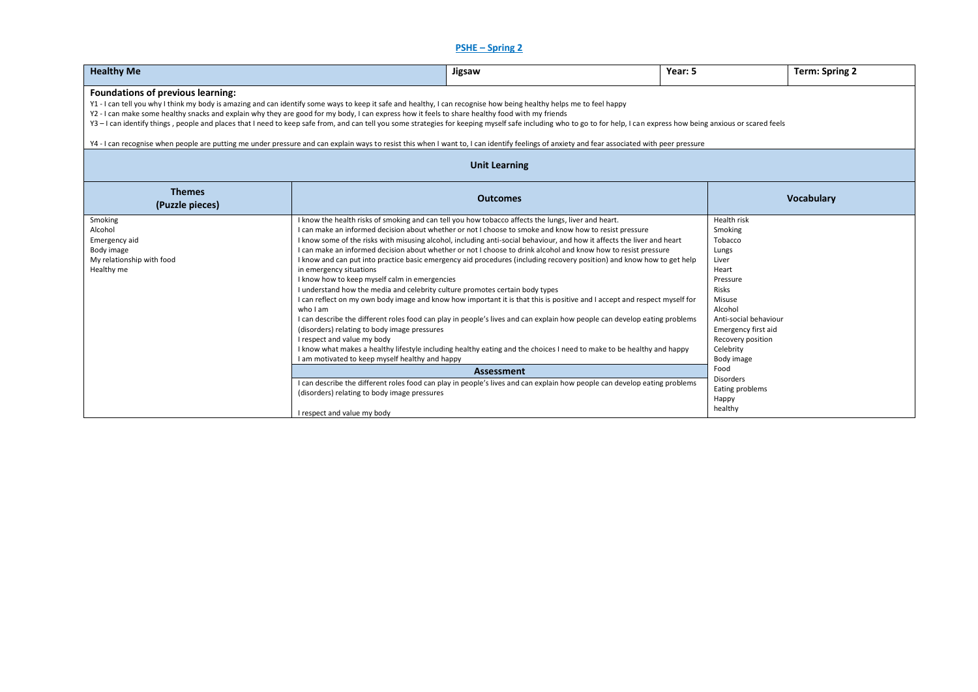## **PSHE – Spring 2**

| <b>Healthy Me</b>                                                                                                                                                                                                                                                                                                                                                                                                                                                                                                                                                                                                                                                                                                                                                                   |                                                                                                                                                                                                                                                                                                                                                                                       | Jigsaw                                                                                                                                                                                                                                                                                                                                                                                                                                                                                                                                                                                                                                                                                                                                                                                                                                                                                                                                                                                                                                                                                                                    | Year: 5 |                                                                                                                                                                                                                                                                           | <b>Term: Spring 2</b> |  |  |
|-------------------------------------------------------------------------------------------------------------------------------------------------------------------------------------------------------------------------------------------------------------------------------------------------------------------------------------------------------------------------------------------------------------------------------------------------------------------------------------------------------------------------------------------------------------------------------------------------------------------------------------------------------------------------------------------------------------------------------------------------------------------------------------|---------------------------------------------------------------------------------------------------------------------------------------------------------------------------------------------------------------------------------------------------------------------------------------------------------------------------------------------------------------------------------------|---------------------------------------------------------------------------------------------------------------------------------------------------------------------------------------------------------------------------------------------------------------------------------------------------------------------------------------------------------------------------------------------------------------------------------------------------------------------------------------------------------------------------------------------------------------------------------------------------------------------------------------------------------------------------------------------------------------------------------------------------------------------------------------------------------------------------------------------------------------------------------------------------------------------------------------------------------------------------------------------------------------------------------------------------------------------------------------------------------------------------|---------|---------------------------------------------------------------------------------------------------------------------------------------------------------------------------------------------------------------------------------------------------------------------------|-----------------------|--|--|
| Foundations of previous learning:<br>Y1 - I can tell you why I think my body is amazing and can identify some ways to keep it safe and healthy, I can recognise how being healthy helps me to feel happy<br>Y2 - I can make some healthy snacks and explain why they are good for my body, I can express how it feels to share healthy food with my friends<br>Y3-I can identify things, people and places that I need to keep safe from, and can tell you some strategies for keeping myself safe including who to go to for help, I can express how being anxious or scared feels<br>Y4 - I can recognise when people are putting me under pressure and can explain ways to resist this when I want to, I can identify feelings of anxiety and fear associated with peer pressure |                                                                                                                                                                                                                                                                                                                                                                                       |                                                                                                                                                                                                                                                                                                                                                                                                                                                                                                                                                                                                                                                                                                                                                                                                                                                                                                                                                                                                                                                                                                                           |         |                                                                                                                                                                                                                                                                           |                       |  |  |
|                                                                                                                                                                                                                                                                                                                                                                                                                                                                                                                                                                                                                                                                                                                                                                                     |                                                                                                                                                                                                                                                                                                                                                                                       | <b>Unit Learning</b>                                                                                                                                                                                                                                                                                                                                                                                                                                                                                                                                                                                                                                                                                                                                                                                                                                                                                                                                                                                                                                                                                                      |         |                                                                                                                                                                                                                                                                           |                       |  |  |
| <b>Themes</b><br>(Puzzle pieces)                                                                                                                                                                                                                                                                                                                                                                                                                                                                                                                                                                                                                                                                                                                                                    |                                                                                                                                                                                                                                                                                                                                                                                       | <b>Outcomes</b>                                                                                                                                                                                                                                                                                                                                                                                                                                                                                                                                                                                                                                                                                                                                                                                                                                                                                                                                                                                                                                                                                                           |         |                                                                                                                                                                                                                                                                           | Vocabulary            |  |  |
| Smoking<br>Alcohol<br>Emergency aid<br>Body image<br>My relationship with food<br>Healthy me                                                                                                                                                                                                                                                                                                                                                                                                                                                                                                                                                                                                                                                                                        | in emergency situations<br>I know how to keep myself calm in emergencies<br>I understand how the media and celebrity culture promotes certain body types<br>who I am<br>(disorders) relating to body image pressures<br>I respect and value my body<br>I am motivated to keep myself healthy and happy<br>(disorders) relating to body image pressures<br>I respect and value my body | I know the health risks of smoking and can tell you how tobacco affects the lungs, liver and heart.<br>I can make an informed decision about whether or not I choose to smoke and know how to resist pressure<br>I know some of the risks with misusing alcohol, including anti-social behaviour, and how it affects the liver and heart<br>I can make an informed decision about whether or not I choose to drink alcohol and know how to resist pressure<br>I know and can put into practice basic emergency aid procedures (including recovery position) and know how to get help<br>I can reflect on my own body image and know how important it is that this is positive and I accept and respect myself for<br>I can describe the different roles food can play in people's lives and can explain how people can develop eating problems<br>I know what makes a healthy lifestyle including healthy eating and the choices I need to make to be healthy and happy<br><b>Assessment</b><br>I can describe the different roles food can play in people's lives and can explain how people can develop eating problems |         | Health risk<br>Smoking<br>Tobacco<br>Lungs<br>Liver<br>Heart<br>Pressure<br>Risks<br>Misuse<br>Alcohol<br>Anti-social behaviour<br>Emergency first aid<br>Recovery position<br>Celebrity<br>Body image<br>Food<br><b>Disorders</b><br>Eating problems<br>Happy<br>healthy |                       |  |  |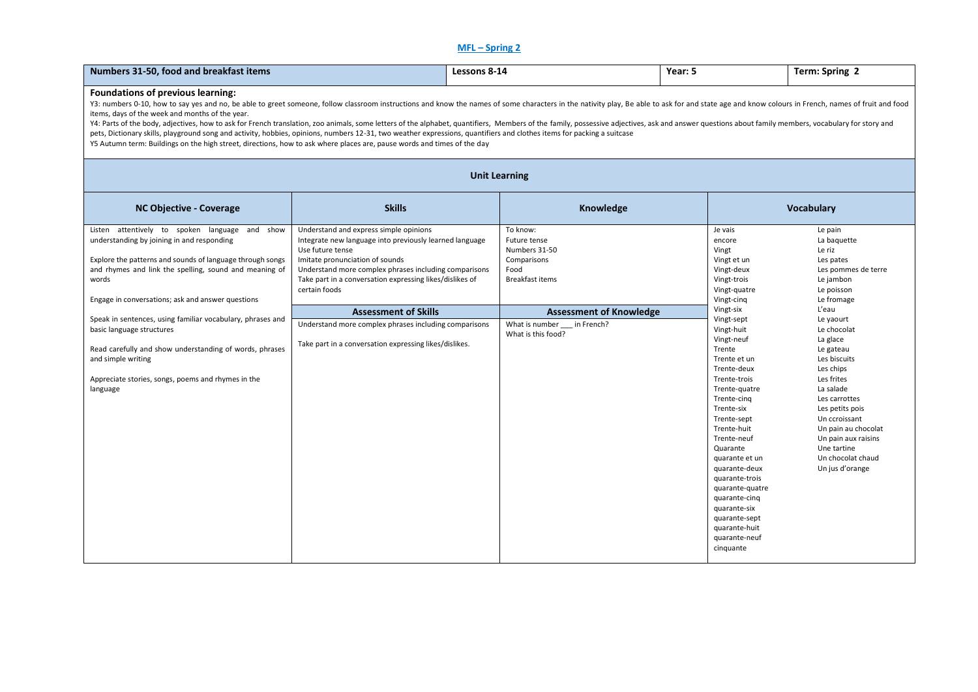## **MFL – Spring 2**

| Numbers 31-50, food and breakfast items                                                                                                                                                                                                                                                                                                                                                                                                                                                                                                                                                                                                                                                                                                                                                                                                                              |                                                                                                                                                                                                                                                                                                                                                                                                                                                  |                      | Lessons 8-14                                                                                                                                                                    | Year: 5                                                                                                                                                                                                                                                                                                                                                                                                              | Term: Spring 2                                                                                                                                                                                                                                                                                                                                                                                |  |  |
|----------------------------------------------------------------------------------------------------------------------------------------------------------------------------------------------------------------------------------------------------------------------------------------------------------------------------------------------------------------------------------------------------------------------------------------------------------------------------------------------------------------------------------------------------------------------------------------------------------------------------------------------------------------------------------------------------------------------------------------------------------------------------------------------------------------------------------------------------------------------|--------------------------------------------------------------------------------------------------------------------------------------------------------------------------------------------------------------------------------------------------------------------------------------------------------------------------------------------------------------------------------------------------------------------------------------------------|----------------------|---------------------------------------------------------------------------------------------------------------------------------------------------------------------------------|----------------------------------------------------------------------------------------------------------------------------------------------------------------------------------------------------------------------------------------------------------------------------------------------------------------------------------------------------------------------------------------------------------------------|-----------------------------------------------------------------------------------------------------------------------------------------------------------------------------------------------------------------------------------------------------------------------------------------------------------------------------------------------------------------------------------------------|--|--|
| <b>Foundations of previous learning:</b><br>Y3: numbers 0-10, how to say yes and no, be able to greet someone, follow classroom instructions and know the names of some characters in the nativity play, Be able to ask for and state age and know colours in French, name<br>items, days of the week and months of the year.<br>Y4: Parts of the body, adjectives, how to ask for French translation, zoo animals, some letters of the alphabet, quantifiers, Members of the family, possessive adjectives, ask and answer questions about family members, voc<br>pets, Dictionary skills, playground song and activity, hobbies, opinions, numbers 12-31, two weather expressions, quantifiers and clothes items for packing a suitcase<br>Y5 Autumn term: Buildings on the high street, directions, how to ask where places are, pause words and times of the day |                                                                                                                                                                                                                                                                                                                                                                                                                                                  |                      |                                                                                                                                                                                 |                                                                                                                                                                                                                                                                                                                                                                                                                      |                                                                                                                                                                                                                                                                                                                                                                                               |  |  |
|                                                                                                                                                                                                                                                                                                                                                                                                                                                                                                                                                                                                                                                                                                                                                                                                                                                                      |                                                                                                                                                                                                                                                                                                                                                                                                                                                  | <b>Unit Learning</b> |                                                                                                                                                                                 |                                                                                                                                                                                                                                                                                                                                                                                                                      |                                                                                                                                                                                                                                                                                                                                                                                               |  |  |
| <b>NC Objective - Coverage</b>                                                                                                                                                                                                                                                                                                                                                                                                                                                                                                                                                                                                                                                                                                                                                                                                                                       | <b>Skills</b>                                                                                                                                                                                                                                                                                                                                                                                                                                    |                      | Knowledge                                                                                                                                                                       |                                                                                                                                                                                                                                                                                                                                                                                                                      | <b>Vocabulary</b>                                                                                                                                                                                                                                                                                                                                                                             |  |  |
| Listen attentively to spoken language and show<br>understanding by joining in and responding<br>Explore the patterns and sounds of language through songs<br>and rhymes and link the spelling, sound and meaning of<br>words<br>Engage in conversations; ask and answer questions<br>Speak in sentences, using familiar vocabulary, phrases and<br>basic language structures<br>Read carefully and show understanding of words, phrases<br>and simple writing<br>Appreciate stories, songs, poems and rhymes in the<br>language                                                                                                                                                                                                                                                                                                                                      | Understand and express simple opinions<br>Integrate new language into previously learned language<br>Use future tense<br>Imitate pronunciation of sounds<br>Understand more complex phrases including comparisons<br>Take part in a conversation expressing likes/dislikes of<br>certain foods<br><b>Assessment of Skills</b><br>Understand more complex phrases including comparisons<br>Take part in a conversation expressing likes/dislikes. |                      | To know:<br>Future tense<br>Numbers 31-50<br>Comparisons<br>Food<br><b>Breakfast items</b><br><b>Assessment of Knowledge</b><br>What is number in French?<br>What is this food? | Je vais<br>encore<br>Vingt<br>Vingt et un<br>Vingt-deux<br>Vingt-trois<br>Vingt-quatre<br>Vingt-cinq<br>Vingt-six<br>Vingt-sept<br>Vingt-huit<br>Vingt-neuf<br>Trente<br>Trente et un<br>Trente-deux<br>Trente-trois<br>Trente-quatre<br>Trente-cing<br>Trente-six<br>Trente-sept<br>Trente-huit<br>Trente-neuf<br>Quarante<br>quarante et un<br>quarante-deux<br>quarante-trois<br>quarante-quatre<br>quarante-cinq | Le pain<br>La baquette<br>Le riz<br>Les pates<br>Les pommes de terre<br>Le jambon<br>Le poisson<br>Le fromage<br>L'eau<br>Le yaourt<br>Le chocolat<br>La glace<br>Le gateau<br>Les biscuits<br>Les chips<br>Les frites<br>La salade<br>Les carrottes<br>Les petits pois<br>Un ccroissant<br>Un pain au chocolat<br>Un pain aux raisins<br>Une tartine<br>Un chocolat chaud<br>Un jus d'orange |  |  |
|                                                                                                                                                                                                                                                                                                                                                                                                                                                                                                                                                                                                                                                                                                                                                                                                                                                                      |                                                                                                                                                                                                                                                                                                                                                                                                                                                  |                      |                                                                                                                                                                                 | quarante-six<br>quarante-sept<br>quarante-huit<br>quarante-neuf<br>cinquante                                                                                                                                                                                                                                                                                                                                         |                                                                                                                                                                                                                                                                                                                                                                                               |  |  |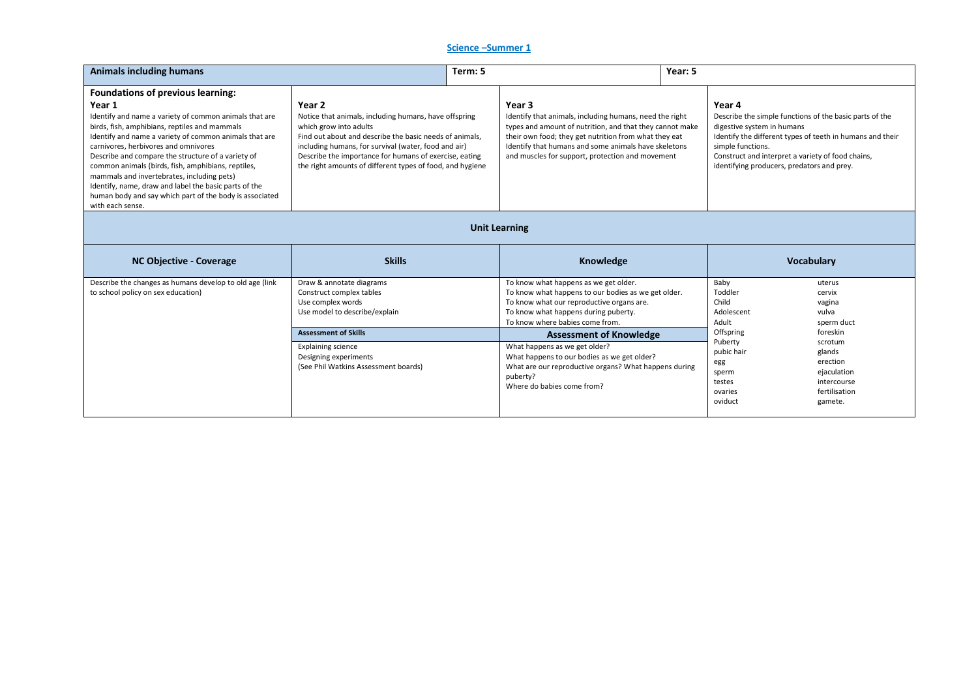## **Science –Summer 1**

| <b>Animals including humans</b>                                                                                                                                                                                                                                                                                                                                                                                                                                                                                                                                   |                                                                                                                                                                                                                                                                                                                                     | Term: 5 |                                                                                                                                                                                                                                                                                                                                                                                                                                           | Year: 5 |                                                                                                                                       |                                                                                                                                                                           |
|-------------------------------------------------------------------------------------------------------------------------------------------------------------------------------------------------------------------------------------------------------------------------------------------------------------------------------------------------------------------------------------------------------------------------------------------------------------------------------------------------------------------------------------------------------------------|-------------------------------------------------------------------------------------------------------------------------------------------------------------------------------------------------------------------------------------------------------------------------------------------------------------------------------------|---------|-------------------------------------------------------------------------------------------------------------------------------------------------------------------------------------------------------------------------------------------------------------------------------------------------------------------------------------------------------------------------------------------------------------------------------------------|---------|---------------------------------------------------------------------------------------------------------------------------------------|---------------------------------------------------------------------------------------------------------------------------------------------------------------------------|
| <b>Foundations of previous learning:</b><br>Year 1<br>Identify and name a variety of common animals that are<br>birds, fish, amphibians, reptiles and mammals<br>Identify and name a variety of common animals that are<br>carnivores, herbivores and omnivores<br>Describe and compare the structure of a variety of<br>common animals (birds, fish, amphibians, reptiles,<br>mammals and invertebrates, including pets)<br>Identify, name, draw and label the basic parts of the<br>human body and say which part of the body is associated<br>with each sense. | Year 2<br>Notice that animals, including humans, have offspring<br>which grow into adults<br>Find out about and describe the basic needs of animals,<br>including humans, for survival (water, food and air)<br>Describe the importance for humans of exercise, eating<br>the right amounts of different types of food, and hygiene |         | Year <sub>3</sub><br>Identify that animals, including humans, need the right<br>types and amount of nutrition, and that they cannot make<br>their own food; they get nutrition from what they eat<br>Identify that humans and some animals have skeletons<br>and muscles for support, protection and movement                                                                                                                             |         | Year 4<br>digestive system in humans<br>simple functions.<br>identifying producers, predators and prey.                               | Describe the simple functions of the basic parts of the<br>Identify the different types of teeth in humans and their<br>Construct and interpret a variety of food chains, |
|                                                                                                                                                                                                                                                                                                                                                                                                                                                                                                                                                                   | <b>Unit Learning</b>                                                                                                                                                                                                                                                                                                                |         |                                                                                                                                                                                                                                                                                                                                                                                                                                           |         |                                                                                                                                       |                                                                                                                                                                           |
| <b>NC Objective - Coverage</b>                                                                                                                                                                                                                                                                                                                                                                                                                                                                                                                                    | <b>Skills</b>                                                                                                                                                                                                                                                                                                                       |         | Knowledge                                                                                                                                                                                                                                                                                                                                                                                                                                 |         |                                                                                                                                       | <b>Vocabulary</b>                                                                                                                                                         |
| Describe the changes as humans develop to old age (link<br>to school policy on sex education)                                                                                                                                                                                                                                                                                                                                                                                                                                                                     | Draw & annotate diagrams<br>Construct complex tables<br>Use complex words<br>Use model to describe/explain<br><b>Assessment of Skills</b><br><b>Explaining science</b><br>Designing experiments<br>(See Phil Watkins Assessment boards)                                                                                             |         | To know what happens as we get older.<br>To know what happens to our bodies as we get older.<br>To know what our reproductive organs are.<br>To know what happens during puberty.<br>To know where babies come from.<br><b>Assessment of Knowledge</b><br>What happens as we get older?<br>What happens to our bodies as we get older?<br>What are our reproductive organs? What happens during<br>puberty?<br>Where do babies come from? |         | Baby<br>Toddler<br>Child<br>Adolescent<br>Adult<br>Offspring<br>Puberty<br>pubic hair<br>egg<br>sperm<br>testes<br>ovaries<br>oviduct | uterus<br>cervix<br>vagina<br>vulva<br>sperm duct<br>foreskin<br>scrotum<br>glands<br>erection<br>ejaculation<br>intercourse<br>fertilisation<br>gamete.                  |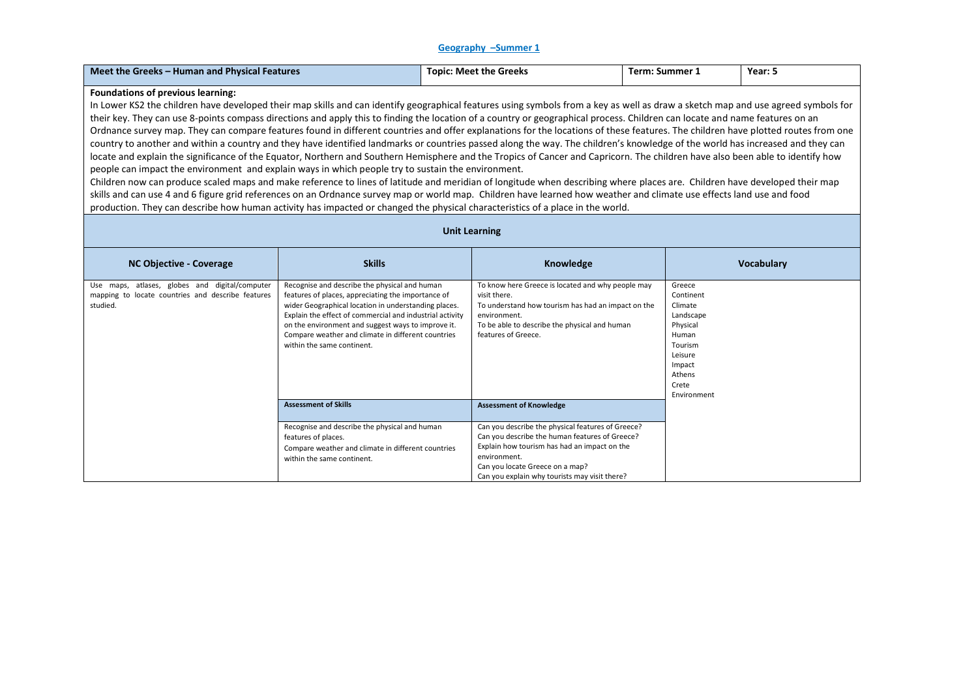#### **Geography –Summer 1**

|--|

#### **Foundations of previous learning:**

In Lower KS2 the children have developed their map skills and can identify geographical features using symbols from a key as well as draw a sketch map and use agreed symbols for their key. They can use 8-points compass directions and apply this to finding the location of a country or geographical process. Children can locate and name features on an Ordnance survey map. They can compare features found in different countries and offer explanations for the locations of these features. The children have plotted routes from one country to another and within a country and they have identified landmarks or countries passed along the way. The children's knowledge of the world has increased and they can locate and explain the significance of the Equator, Northern and Southern Hemisphere and the Tropics of Cancer and Capricorn. The children have also been able to identify how people can impact the environment and explain ways in which people try to sustain the environment.

Children now can produce scaled maps and make reference to lines of latitude and meridian of longitude when describing where places are. Children have developed their map skills and can use 4 and 6 figure grid references on an Ordnance survey map or world map. Children have learned how weather and climate use effects land use and food production. They can describe how human activity has impacted or changed the physical characteristics of a place in the world.

| <b>NC Objective - Coverage</b>                                                                                  | <b>Skills</b>                                                                                                                                                                                                                                                                                                                                                     | Knowledge                                                                                                                                                                                                                                               | <b>Vocabulary</b>                                                                                                                  |  |  |  |
|-----------------------------------------------------------------------------------------------------------------|-------------------------------------------------------------------------------------------------------------------------------------------------------------------------------------------------------------------------------------------------------------------------------------------------------------------------------------------------------------------|---------------------------------------------------------------------------------------------------------------------------------------------------------------------------------------------------------------------------------------------------------|------------------------------------------------------------------------------------------------------------------------------------|--|--|--|
| Use maps, atlases, globes and digital/computer<br>mapping to locate countries and describe features<br>studied. | Recognise and describe the physical and human<br>features of places, appreciating the importance of<br>wider Geographical location in understanding places.<br>Explain the effect of commercial and industrial activity<br>on the environment and suggest ways to improve it.<br>Compare weather and climate in different countries<br>within the same continent. | To know here Greece is located and why people may<br>visit there.<br>To understand how tourism has had an impact on the<br>environment.<br>To be able to describe the physical and human<br>features of Greece.                                         | Greece<br>Continent<br>Climate<br>Landscape<br>Physical<br>Human<br>Tourism<br>Leisure<br>Impact<br>Athens<br>Crete<br>Environment |  |  |  |
|                                                                                                                 | <b>Assessment of Skills</b>                                                                                                                                                                                                                                                                                                                                       | <b>Assessment of Knowledge</b>                                                                                                                                                                                                                          |                                                                                                                                    |  |  |  |
|                                                                                                                 | Recognise and describe the physical and human<br>features of places.<br>Compare weather and climate in different countries<br>within the same continent.                                                                                                                                                                                                          | Can you describe the physical features of Greece?<br>Can you describe the human features of Greece?<br>Explain how tourism has had an impact on the<br>environment.<br>Can you locate Greece on a map?<br>Can you explain why tourists may visit there? |                                                                                                                                    |  |  |  |

#### **Unit Learning**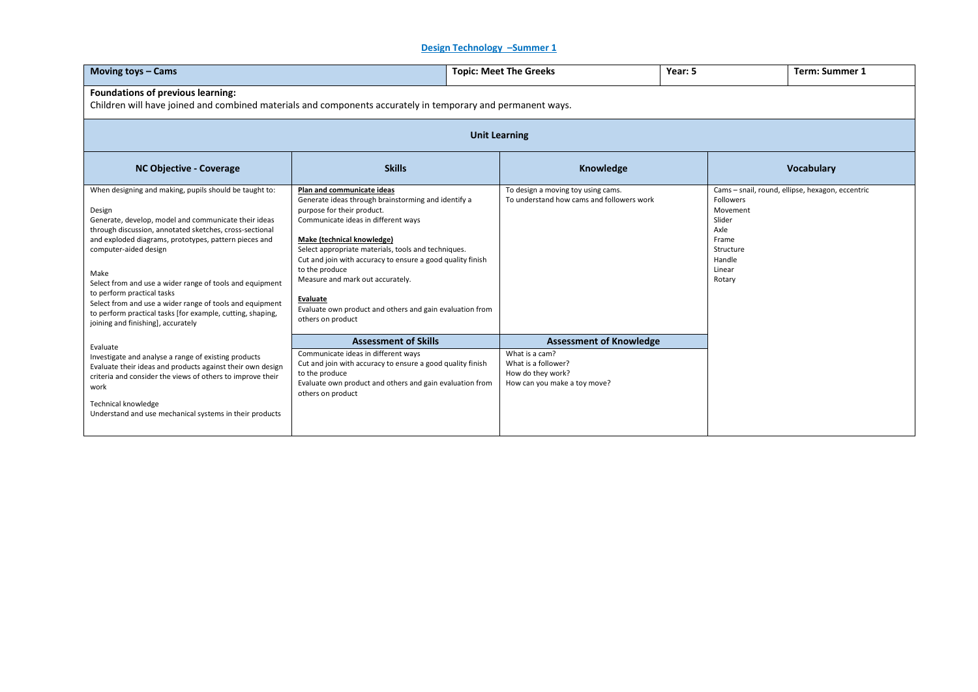# **Design Technology –Summer 1**

| Moving toys - Cams                                                                                                                                                                                                                                                                                                                                                                                                                                                                                                                      |                                                                                                                                                                                                                                                                                                                                                                                                                                                                     | <b>Topic: Meet The Greeks</b> |                                                                                                                              | Year: 5 |                                                                                             | <b>Term: Summer 1</b>                            |  |
|-----------------------------------------------------------------------------------------------------------------------------------------------------------------------------------------------------------------------------------------------------------------------------------------------------------------------------------------------------------------------------------------------------------------------------------------------------------------------------------------------------------------------------------------|---------------------------------------------------------------------------------------------------------------------------------------------------------------------------------------------------------------------------------------------------------------------------------------------------------------------------------------------------------------------------------------------------------------------------------------------------------------------|-------------------------------|------------------------------------------------------------------------------------------------------------------------------|---------|---------------------------------------------------------------------------------------------|--------------------------------------------------|--|
| Foundations of previous learning:<br>Children will have joined and combined materials and components accurately in temporary and permanent ways.                                                                                                                                                                                                                                                                                                                                                                                        |                                                                                                                                                                                                                                                                                                                                                                                                                                                                     |                               |                                                                                                                              |         |                                                                                             |                                                  |  |
| <b>Unit Learning</b>                                                                                                                                                                                                                                                                                                                                                                                                                                                                                                                    |                                                                                                                                                                                                                                                                                                                                                                                                                                                                     |                               |                                                                                                                              |         |                                                                                             |                                                  |  |
| <b>NC Objective - Coverage</b>                                                                                                                                                                                                                                                                                                                                                                                                                                                                                                          | <b>Skills</b>                                                                                                                                                                                                                                                                                                                                                                                                                                                       |                               | Knowledge                                                                                                                    |         |                                                                                             | <b>Vocabulary</b>                                |  |
| When designing and making, pupils should be taught to:<br>Design<br>Generate, develop, model and communicate their ideas<br>through discussion, annotated sketches, cross-sectional<br>and exploded diagrams, prototypes, pattern pieces and<br>computer-aided design<br>Make<br>Select from and use a wider range of tools and equipment<br>to perform practical tasks<br>Select from and use a wider range of tools and equipment<br>to perform practical tasks [for example, cutting, shaping,<br>joining and finishing], accurately | Plan and communicate ideas<br>Generate ideas through brainstorming and identify a<br>purpose for their product.<br>Communicate ideas in different ways<br>Make (technical knowledge)<br>Select appropriate materials, tools and techniques.<br>Cut and join with accuracy to ensure a good quality finish<br>to the produce<br>Measure and mark out accurately.<br><b>Evaluate</b><br>Evaluate own product and others and gain evaluation from<br>others on product |                               | To design a moving toy using cams.<br>To understand how cams and followers work                                              |         | Followers<br>Movement<br>Slider<br>Axle<br>Frame<br>Structure<br>Handle<br>Linear<br>Rotary | Cams - snail, round, ellipse, hexagon, eccentric |  |
| Evaluate<br>Investigate and analyse a range of existing products<br>Evaluate their ideas and products against their own design<br>criteria and consider the views of others to improve their<br>work<br>Technical knowledge<br>Understand and use mechanical systems in their products                                                                                                                                                                                                                                                  | <b>Assessment of Skills</b><br>Communicate ideas in different ways<br>Cut and join with accuracy to ensure a good quality finish<br>to the produce<br>Evaluate own product and others and gain evaluation from<br>others on product                                                                                                                                                                                                                                 |                               | <b>Assessment of Knowledge</b><br>What is a cam?<br>What is a follower?<br>How do they work?<br>How can you make a toy move? |         |                                                                                             |                                                  |  |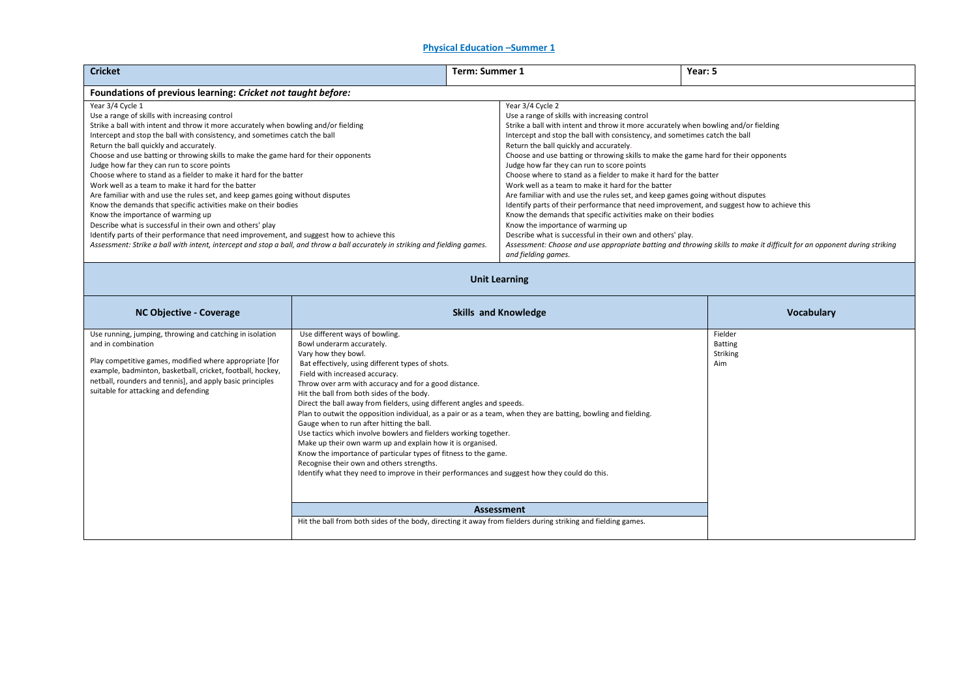### **Physical Education Summer 1**

| <b>Cricket</b>                                                                                                                                                                                                                                                                                                                                                                                                                                                                                                                                                                                                                                                                                                                                                                                                                                                                                        | Term: Summer 1                                                                                                                                                                                                                                                                                                                                                                                                                                             | Year: 5                                                                                                                                                                                                                                                                                                                                                                                                                                  |
|-------------------------------------------------------------------------------------------------------------------------------------------------------------------------------------------------------------------------------------------------------------------------------------------------------------------------------------------------------------------------------------------------------------------------------------------------------------------------------------------------------------------------------------------------------------------------------------------------------------------------------------------------------------------------------------------------------------------------------------------------------------------------------------------------------------------------------------------------------------------------------------------------------|------------------------------------------------------------------------------------------------------------------------------------------------------------------------------------------------------------------------------------------------------------------------------------------------------------------------------------------------------------------------------------------------------------------------------------------------------------|------------------------------------------------------------------------------------------------------------------------------------------------------------------------------------------------------------------------------------------------------------------------------------------------------------------------------------------------------------------------------------------------------------------------------------------|
| Foundations of previous learning: Cricket not taught before:                                                                                                                                                                                                                                                                                                                                                                                                                                                                                                                                                                                                                                                                                                                                                                                                                                          |                                                                                                                                                                                                                                                                                                                                                                                                                                                            |                                                                                                                                                                                                                                                                                                                                                                                                                                          |
| Year 3/4 Cycle 1<br>Use a range of skills with increasing control<br>Strike a ball with intent and throw it more accurately when bowling and/or fielding<br>Intercept and stop the ball with consistency, and sometimes catch the ball<br>Return the ball quickly and accurately.<br>Choose and use batting or throwing skills to make the game hard for their opponents<br>Judge how far they can run to score points<br>Choose where to stand as a fielder to make it hard for the batter<br>Work well as a team to make it hard for the batter<br>Are familiar with and use the rules set, and keep games going without disputes<br>Know the demands that specific activities make on their bodies<br>Know the importance of warming up<br>Describe what is successful in their own and others' play<br>Identify parts of their performance that need improvement, and suggest how to achieve this | Year 3/4 Cycle 2<br>Use a range of skills with increasing control<br>Return the ball quickly and accurately.<br>Judge how far they can run to score points<br>Choose where to stand as a fielder to make it hard for the batter<br>Work well as a team to make it hard for the batter<br>Know the demands that specific activities make on their bodies<br>Know the importance of warming up<br>Describe what is successful in their own and others' play. | Strike a ball with intent and throw it more accurately when bowling and/or fielding<br>Intercept and stop the ball with consistency, and sometimes catch the ball<br>Choose and use batting or throwing skills to make the game hard for their opponents<br>Are familiar with and use the rules set, and keep games going without disputes<br>Identify parts of their performance that need improvement, and suggest how to achieve this |
| Assessment: Strike a ball with intent, intercept and stop a ball, and throw a ball accurately in striking and fielding games.<br>Assessment: Choose and use appropriate batting and throwing skills to make it difficult for an opponent during striking<br>and fielding games.                                                                                                                                                                                                                                                                                                                                                                                                                                                                                                                                                                                                                       |                                                                                                                                                                                                                                                                                                                                                                                                                                                            |                                                                                                                                                                                                                                                                                                                                                                                                                                          |
|                                                                                                                                                                                                                                                                                                                                                                                                                                                                                                                                                                                                                                                                                                                                                                                                                                                                                                       | the contract of the contract of the contract of the contract of the contract of                                                                                                                                                                                                                                                                                                                                                                            |                                                                                                                                                                                                                                                                                                                                                                                                                                          |

### **Unit Learning**

| Use running, jumping, throwing and catching in isolation                                                                                                                                                                                         | Use different ways of bowling.<br>Bowl underarm accurately.                                                                                                                                                                                                                                                                                                                                                                                                                                                                                                                                                                                                                                                                                                                                                                                                                                                                                      | Fielder                           |
|--------------------------------------------------------------------------------------------------------------------------------------------------------------------------------------------------------------------------------------------------|--------------------------------------------------------------------------------------------------------------------------------------------------------------------------------------------------------------------------------------------------------------------------------------------------------------------------------------------------------------------------------------------------------------------------------------------------------------------------------------------------------------------------------------------------------------------------------------------------------------------------------------------------------------------------------------------------------------------------------------------------------------------------------------------------------------------------------------------------------------------------------------------------------------------------------------------------|-----------------------------------|
| and in combination<br>Play competitive games, modified where appropriate [for<br>example, badminton, basketball, cricket, football, hockey,<br>netball, rounders and tennis], and apply basic principles<br>suitable for attacking and defending | Vary how they bowl.<br>Bat effectively, using different types of shots.<br>Field with increased accuracy.<br>Throw over arm with accuracy and for a good distance.<br>Hit the ball from both sides of the body.<br>Direct the ball away from fielders, using different angles and speeds.<br>Plan to outwit the opposition individual, as a pair or as a team, when they are batting, bowling and fielding.<br>Gauge when to run after hitting the ball.<br>Use tactics which involve bowlers and fielders working together.<br>Make up their own warm up and explain how it is organised.<br>Know the importance of particular types of fitness to the game.<br>Recognise their own and others strengths.<br>Identify what they need to improve in their performances and suggest how they could do this.<br><b>Assessment</b><br>Hit the ball from both sides of the body, directing it away from fielders during striking and fielding games. | <b>Batting</b><br>Striking<br>Aim |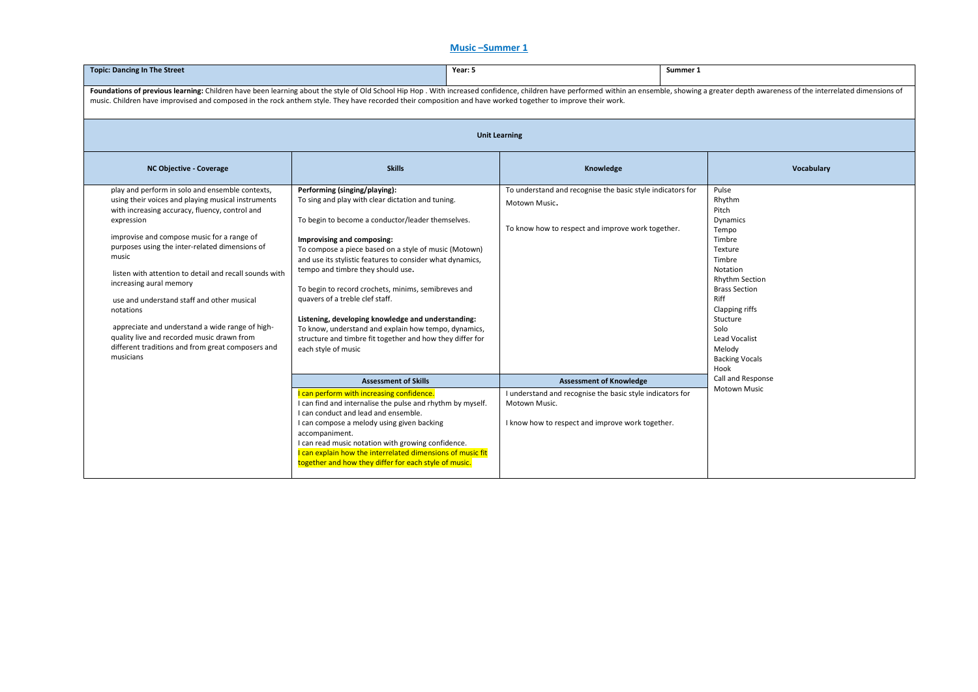### **Music –Summer 1**

| <b>Topic: Dancing In The Street</b>                                                                                                                                                                                                                                                                                                                                                                                                                                                                                                                                                               |                                                                                                                                                                                                                                                                                                                                                                                                                                                                                                                                                                                                                              | Year: 5<br>Summer 1 |                                                                                                                                  |  |                                                                                                                                                                                                                                                            |  |
|---------------------------------------------------------------------------------------------------------------------------------------------------------------------------------------------------------------------------------------------------------------------------------------------------------------------------------------------------------------------------------------------------------------------------------------------------------------------------------------------------------------------------------------------------------------------------------------------------|------------------------------------------------------------------------------------------------------------------------------------------------------------------------------------------------------------------------------------------------------------------------------------------------------------------------------------------------------------------------------------------------------------------------------------------------------------------------------------------------------------------------------------------------------------------------------------------------------------------------------|---------------------|----------------------------------------------------------------------------------------------------------------------------------|--|------------------------------------------------------------------------------------------------------------------------------------------------------------------------------------------------------------------------------------------------------------|--|
| Foundations of previous learning: Children have been learning about the style of Old School Hip Hop. With increased confidence, children have performed within an ensemble, showing a greater depth awareness of the interrela<br>music. Children have improvised and composed in the rock anthem style. They have recorded their composition and have worked together to improve their work.                                                                                                                                                                                                     |                                                                                                                                                                                                                                                                                                                                                                                                                                                                                                                                                                                                                              |                     |                                                                                                                                  |  |                                                                                                                                                                                                                                                            |  |
| <b>Unit Learning</b>                                                                                                                                                                                                                                                                                                                                                                                                                                                                                                                                                                              |                                                                                                                                                                                                                                                                                                                                                                                                                                                                                                                                                                                                                              |                     |                                                                                                                                  |  |                                                                                                                                                                                                                                                            |  |
| NC Objective - Coverage                                                                                                                                                                                                                                                                                                                                                                                                                                                                                                                                                                           | <b>Skills</b>                                                                                                                                                                                                                                                                                                                                                                                                                                                                                                                                                                                                                |                     | Knowledge                                                                                                                        |  | Vocabulary                                                                                                                                                                                                                                                 |  |
| play and perform in solo and ensemble contexts,<br>using their voices and playing musical instruments<br>with increasing accuracy, fluency, control and<br>expression<br>improvise and compose music for a range of<br>purposes using the inter-related dimensions of<br>music<br>listen with attention to detail and recall sounds with<br>increasing aural memory<br>use and understand staff and other musical<br>notations<br>appreciate and understand a wide range of high-<br>quality live and recorded music drawn from<br>different traditions and from great composers and<br>musicians | Performing (singing/playing):<br>To sing and play with clear dictation and tuning.<br>To begin to become a conductor/leader themselves.<br>Improvising and composing:<br>To compose a piece based on a style of music (Motown)<br>and use its stylistic features to consider what dynamics,<br>tempo and timbre they should use.<br>To begin to record crochets, minims, semibreves and<br>quavers of a treble clef staff.<br>Listening, developing knowledge and understanding:<br>To know, understand and explain how tempo, dynamics,<br>structure and timbre fit together and how they differ for<br>each style of music |                     | To understand and recognise the basic style indicators for<br>Motown Music.<br>To know how to respect and improve work together. |  | Pulse<br>Rhythm<br>Pitch<br>Dynamics<br>Tempo<br>Timbre<br>Texture<br>Timbre<br>Notation<br><b>Rhythm Section</b><br><b>Brass Section</b><br>Riff<br>Clapping riffs<br>Stucture<br>Solo<br><b>Lead Vocalist</b><br>Melody<br><b>Backing Vocals</b><br>Hook |  |
|                                                                                                                                                                                                                                                                                                                                                                                                                                                                                                                                                                                                   | <b>Assessment of Skills</b>                                                                                                                                                                                                                                                                                                                                                                                                                                                                                                                                                                                                  |                     | <b>Assessment of Knowledge</b>                                                                                                   |  | Call and Response<br><b>Motown Music</b>                                                                                                                                                                                                                   |  |
|                                                                                                                                                                                                                                                                                                                                                                                                                                                                                                                                                                                                   | I can perform with increasing confidence.<br>I can find and internalise the pulse and rhythm by myself.<br>I can conduct and lead and ensemble.<br>I can compose a melody using given backing<br>accompaniment.<br>I can read music notation with growing confidence.<br>I can explain how the interrelated dimensions of music fit<br>together and how they differ for each style of music.                                                                                                                                                                                                                                 |                     | I understand and recognise the basic style indicators for<br>Motown Music.<br>I know how to respect and improve work together.   |  |                                                                                                                                                                                                                                                            |  |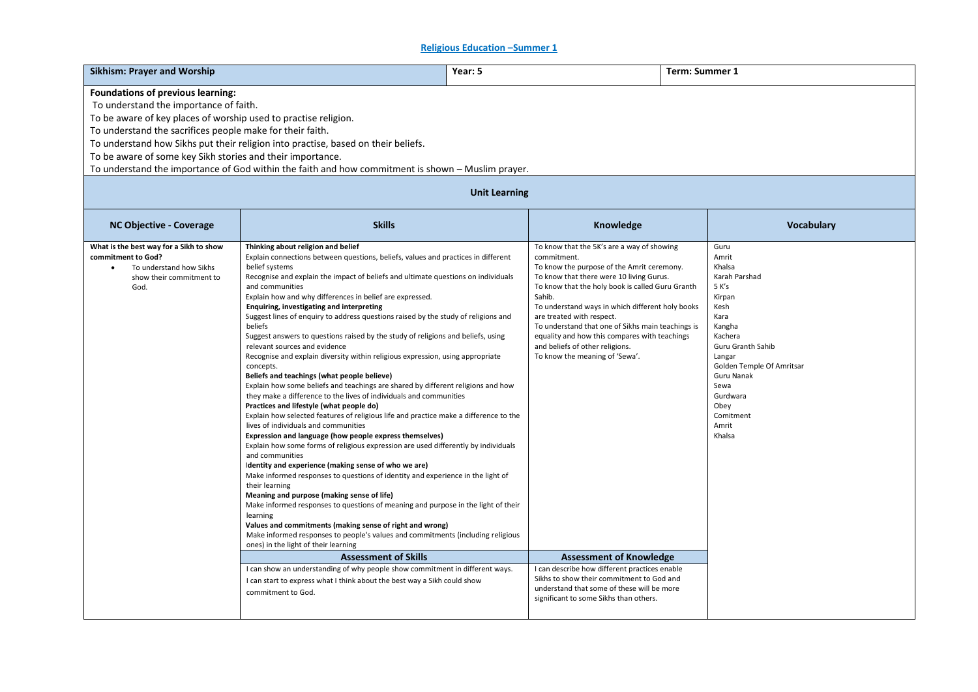**Religious Education –Summer 1** 

| <b>Sikhism: Prayer and Worship</b>                                                                                                                                                                                                                                                                                                                                                                                                                                                                 | Year: 5                                                                                                                                                                                                                                                                                                                                                                                                                                                                                                                                                                                                                                                                                                                                                                                                                                                                                                                                                                                                                                                                                                                                                                                                                                                                                                                                                                                                                                                                                                                                                                                                                                                                                                                                      |  | Term: Summer 1                                                                                                                                                                                                                                                                                                                                                                                                                                                                |  |                                                                                                                                                                                                                                        |  |
|----------------------------------------------------------------------------------------------------------------------------------------------------------------------------------------------------------------------------------------------------------------------------------------------------------------------------------------------------------------------------------------------------------------------------------------------------------------------------------------------------|----------------------------------------------------------------------------------------------------------------------------------------------------------------------------------------------------------------------------------------------------------------------------------------------------------------------------------------------------------------------------------------------------------------------------------------------------------------------------------------------------------------------------------------------------------------------------------------------------------------------------------------------------------------------------------------------------------------------------------------------------------------------------------------------------------------------------------------------------------------------------------------------------------------------------------------------------------------------------------------------------------------------------------------------------------------------------------------------------------------------------------------------------------------------------------------------------------------------------------------------------------------------------------------------------------------------------------------------------------------------------------------------------------------------------------------------------------------------------------------------------------------------------------------------------------------------------------------------------------------------------------------------------------------------------------------------------------------------------------------------|--|-------------------------------------------------------------------------------------------------------------------------------------------------------------------------------------------------------------------------------------------------------------------------------------------------------------------------------------------------------------------------------------------------------------------------------------------------------------------------------|--|----------------------------------------------------------------------------------------------------------------------------------------------------------------------------------------------------------------------------------------|--|
| <b>Foundations of previous learning:</b><br>To understand the importance of faith.<br>To be aware of key places of worship used to practise religion.<br>To understand the sacrifices people make for their faith.<br>To understand how Sikhs put their religion into practise, based on their beliefs.<br>To be aware of some key Sikh stories and their importance.<br>To understand the importance of God within the faith and how commitment is shown - Muslim prayer.<br><b>Unit Learning</b> |                                                                                                                                                                                                                                                                                                                                                                                                                                                                                                                                                                                                                                                                                                                                                                                                                                                                                                                                                                                                                                                                                                                                                                                                                                                                                                                                                                                                                                                                                                                                                                                                                                                                                                                                              |  |                                                                                                                                                                                                                                                                                                                                                                                                                                                                               |  |                                                                                                                                                                                                                                        |  |
| NC Objective - Coverage                                                                                                                                                                                                                                                                                                                                                                                                                                                                            | <b>Skills</b>                                                                                                                                                                                                                                                                                                                                                                                                                                                                                                                                                                                                                                                                                                                                                                                                                                                                                                                                                                                                                                                                                                                                                                                                                                                                                                                                                                                                                                                                                                                                                                                                                                                                                                                                |  | Knowledge                                                                                                                                                                                                                                                                                                                                                                                                                                                                     |  | <b>Vocabulary</b>                                                                                                                                                                                                                      |  |
| What is the best way for a Sikh to show<br>commitment to God?<br>To understand how Sikhs<br>$\bullet$<br>show their commitment to<br>God.                                                                                                                                                                                                                                                                                                                                                          | Thinking about religion and belief<br>Explain connections between questions, beliefs, values and practices in different<br>belief systems<br>Recognise and explain the impact of beliefs and ultimate questions on individuals<br>and communities<br>Explain how and why differences in belief are expressed.<br>Enquiring, investigating and interpreting<br>Suggest lines of enquiry to address questions raised by the study of religions and<br>beliefs<br>Suggest answers to questions raised by the study of religions and beliefs, using<br>relevant sources and evidence<br>Recognise and explain diversity within religious expression, using appropriate<br>concepts.<br>Beliefs and teachings (what people believe)<br>Explain how some beliefs and teachings are shared by different religions and how<br>they make a difference to the lives of individuals and communities<br>Practices and lifestyle (what people do)<br>Explain how selected features of religious life and practice make a difference to the<br>lives of individuals and communities<br>Expression and language (how people express themselves)<br>Explain how some forms of religious expression are used differently by individuals<br>and communities<br>Identity and experience (making sense of who we are)<br>Make informed responses to questions of identity and experience in the light of<br>their learning<br>Meaning and purpose (making sense of life)<br>Make informed responses to questions of meaning and purpose in the light of their<br>learning<br>Values and commitments (making sense of right and wrong)<br>Make informed responses to people's values and commitments (including religious<br>ones) in the light of their learning |  | To know that the 5K's are a way of showing<br>commitment.<br>To know the purpose of the Amrit ceremony.<br>To know that there were 10 living Gurus.<br>To know that the holy book is called Guru Granth<br>Sahib.<br>To understand ways in which different holy books<br>are treated with respect.<br>To understand that one of Sikhs main teachings is<br>equality and how this compares with teachings<br>and beliefs of other religions.<br>To know the meaning of 'Sewa'. |  | Guru<br>Amrit<br>Khalsa<br>Karah Parshad<br>5 K's<br>Kirpan<br>Kesh<br>Kara<br>Kangha<br>Kachera<br>Guru Granth Sahib<br>Langar<br>Golden Temple Of Amritsar<br>Guru Nanak<br>Sewa<br>Gurdwara<br>Obey<br>Comitment<br>Amrit<br>Khalsa |  |
|                                                                                                                                                                                                                                                                                                                                                                                                                                                                                                    | <b>Assessment of Skills</b><br>I can show an understanding of why people show commitment in different ways.<br>I can start to express what I think about the best way a Sikh could show<br>commitment to God.                                                                                                                                                                                                                                                                                                                                                                                                                                                                                                                                                                                                                                                                                                                                                                                                                                                                                                                                                                                                                                                                                                                                                                                                                                                                                                                                                                                                                                                                                                                                |  | <b>Assessment of Knowledge</b><br>I can describe how different practices enable<br>Sikhs to show their commitment to God and<br>understand that some of these will be more<br>significant to some Sikhs than others.                                                                                                                                                                                                                                                          |  |                                                                                                                                                                                                                                        |  |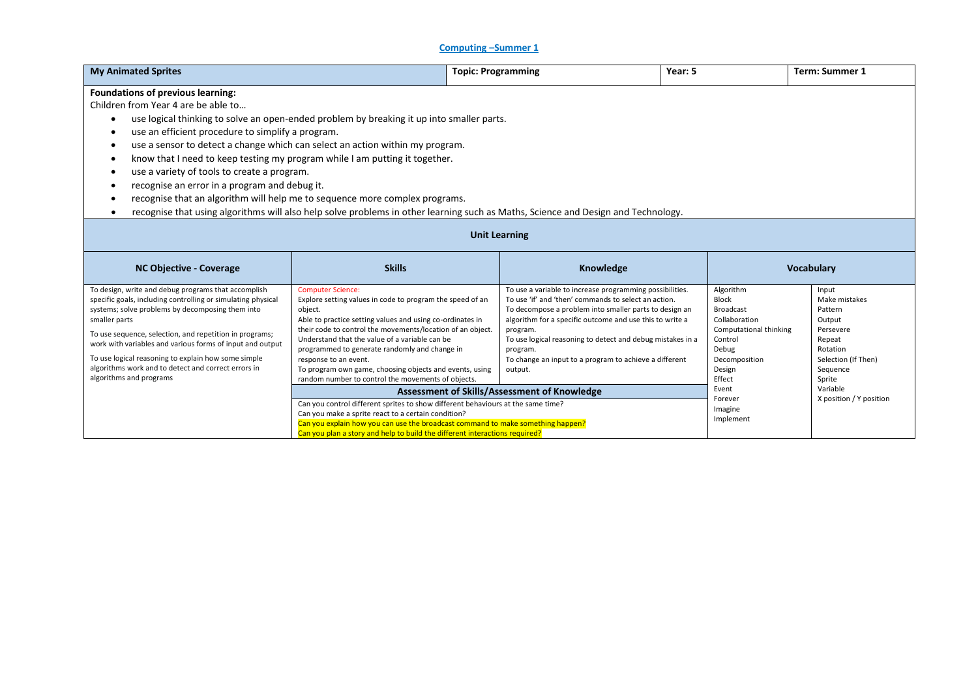## **Computing –Summer 1**

| <b>My Animated Sprites</b>                                                                                                                                                                                                                                                                                                                                                                                                                                                                                                                                                                                                                                                                                            |                                                                                                                                                                                                                                                                                                                                                                                                                                                                          | <b>Topic: Programming</b>                                                                                                                                                                                                                                                                                                                                                                         | Year: 5                                                                                                                                                    | <b>Term: Summer 1</b>                                                                                                       |  |  |
|-----------------------------------------------------------------------------------------------------------------------------------------------------------------------------------------------------------------------------------------------------------------------------------------------------------------------------------------------------------------------------------------------------------------------------------------------------------------------------------------------------------------------------------------------------------------------------------------------------------------------------------------------------------------------------------------------------------------------|--------------------------------------------------------------------------------------------------------------------------------------------------------------------------------------------------------------------------------------------------------------------------------------------------------------------------------------------------------------------------------------------------------------------------------------------------------------------------|---------------------------------------------------------------------------------------------------------------------------------------------------------------------------------------------------------------------------------------------------------------------------------------------------------------------------------------------------------------------------------------------------|------------------------------------------------------------------------------------------------------------------------------------------------------------|-----------------------------------------------------------------------------------------------------------------------------|--|--|
| <b>Foundations of previous learning:</b><br>Children from Year 4 are be able to<br>use logical thinking to solve an open-ended problem by breaking it up into smaller parts.<br>use an efficient procedure to simplify a program.<br>use a sensor to detect a change which can select an action within my program.<br>know that I need to keep testing my program while I am putting it together.<br>use a variety of tools to create a program.<br>recognise an error in a program and debug it.<br>recognise that an algorithm will help me to sequence more complex programs.<br>recognise that using algorithms will also help solve problems in other learning such as Maths, Science and Design and Technology. |                                                                                                                                                                                                                                                                                                                                                                                                                                                                          |                                                                                                                                                                                                                                                                                                                                                                                                   |                                                                                                                                                            |                                                                                                                             |  |  |
|                                                                                                                                                                                                                                                                                                                                                                                                                                                                                                                                                                                                                                                                                                                       | <b>Unit Learning</b>                                                                                                                                                                                                                                                                                                                                                                                                                                                     |                                                                                                                                                                                                                                                                                                                                                                                                   |                                                                                                                                                            |                                                                                                                             |  |  |
| <b>NC Objective - Coverage</b>                                                                                                                                                                                                                                                                                                                                                                                                                                                                                                                                                                                                                                                                                        | <b>Skills</b>                                                                                                                                                                                                                                                                                                                                                                                                                                                            | Knowledge                                                                                                                                                                                                                                                                                                                                                                                         |                                                                                                                                                            | Vocabulary                                                                                                                  |  |  |
| To design, write and debug programs that accomplish<br>specific goals, including controlling or simulating physical<br>systems; solve problems by decomposing them into<br>smaller parts<br>To use sequence, selection, and repetition in programs;<br>work with variables and various forms of input and output<br>To use logical reasoning to explain how some simple<br>algorithms work and to detect and correct errors in<br>algorithms and programs                                                                                                                                                                                                                                                             | <b>Computer Science:</b><br>Explore setting values in code to program the speed of an<br>object.<br>Able to practice setting values and using co-ordinates in<br>their code to control the movements/location of an object.<br>Understand that the value of a variable can be<br>programmed to generate randomly and change in<br>response to an event.<br>To program own game, choosing objects and events, using<br>random number to control the movements of objects. | To use a variable to increase programming possibilities.<br>To use 'if' and 'then' commands to select an action.<br>To decompose a problem into smaller parts to design an<br>algorithm for a specific outcome and use this to write a<br>program.<br>To use logical reasoning to detect and debug mistakes in a<br>program.<br>To change an input to a program to achieve a different<br>output. | Algorithm<br><b>Block</b><br><b>Broadcast</b><br>Collaboration<br>Computational thinking<br>Control<br>Debug<br>Decomposition<br>Design<br>Effect<br>Event | Input<br>Make mistakes<br>Pattern<br>Output<br>Persevere<br>Repeat<br>Rotation<br>Selection (If Then)<br>Sequence<br>Sprite |  |  |
|                                                                                                                                                                                                                                                                                                                                                                                                                                                                                                                                                                                                                                                                                                                       | Can you make a sprite react to a certain condition?                                                                                                                                                                                                                                                                                                                                                                                                                      | Assessment of Skills/Assessment of Knowledge<br>Can you control different sprites to show different behaviours at the same time?<br>Can you explain how you can use the broadcast command to make something happen?<br>Can you plan a story and help to build the different interactions required?                                                                                                |                                                                                                                                                            | Variable<br>X position / Y position                                                                                         |  |  |